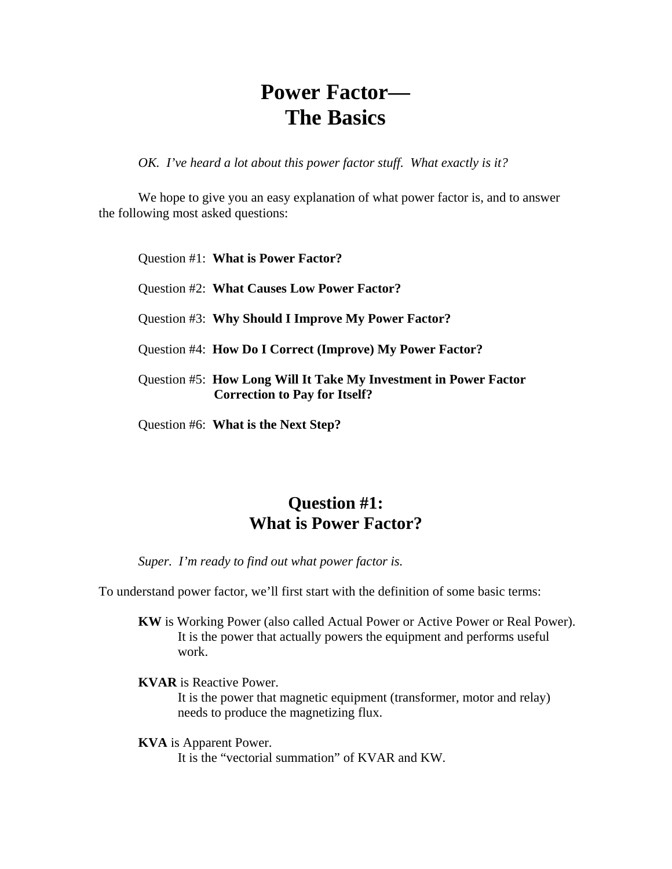# **Power Factor— The Basics**

*OK. I've heard a lot about this power factor stuff. What exactly is it?* 

We hope to give you an easy explanation of what power factor is, and to answer the following most asked questions:

Question #1: **What is Power Factor?**

Question #2: **What Causes Low Power Factor?** 

Question #3: **Why Should I Improve My Power Factor?** 

Question #4: **How Do I Correct (Improve) My Power Factor?** 

Question #5: **How Long Will It Take My Investment in Power Factor Correction to Pay for Itself?** 

Question #6: **What is the Next Step?** 

### **Question #1: What is Power Factor?**

*Super. I'm ready to find out what power factor is.* 

To understand power factor, we'll first start with the definition of some basic terms:

**KW** is Working Power (also called Actual Power or Active Power or Real Power). It is the power that actually powers the equipment and performs useful work.

**KVAR** is Reactive Power.

It is the power that magnetic equipment (transformer, motor and relay) needs to produce the magnetizing flux.

**KVA** is Apparent Power.

It is the "vectorial summation" of KVAR and KW.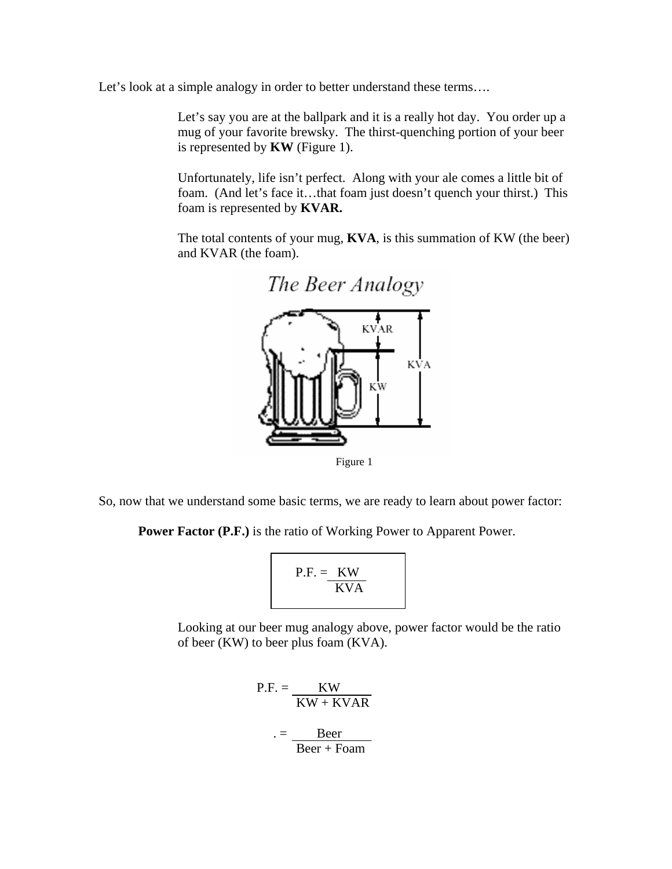Let's look at a simple analogy in order to better understand these terms....

Let's say you are at the ballpark and it is a really hot day. You order up a mug of your favorite brewsky. The thirst-quenching portion of your beer is represented by **KW** (Figure 1).

Unfortunately, life isn't perfect. Along with your ale comes a little bit of foam. (And let's face it...that foam just doesn't quench your thirst.) This foam is represented by **KVAR.** 

The total contents of your mug, **KVA**, is this summation of KW (the beer) and KVAR (the foam).



Figure 1

So, now that we understand some basic terms, we are ready to learn about power factor:

**Power Factor (P.F.)** is the ratio of Working Power to Apparent Power.

$$
P.F. = \frac{KW}{KVA}
$$

Looking at our beer mug analogy above, power factor would be the ratio of beer (KW) to beer plus foam (KVA).

 $P.F. =$  KW  $KW + KVAR$  $. =$  Beer Beer + Foam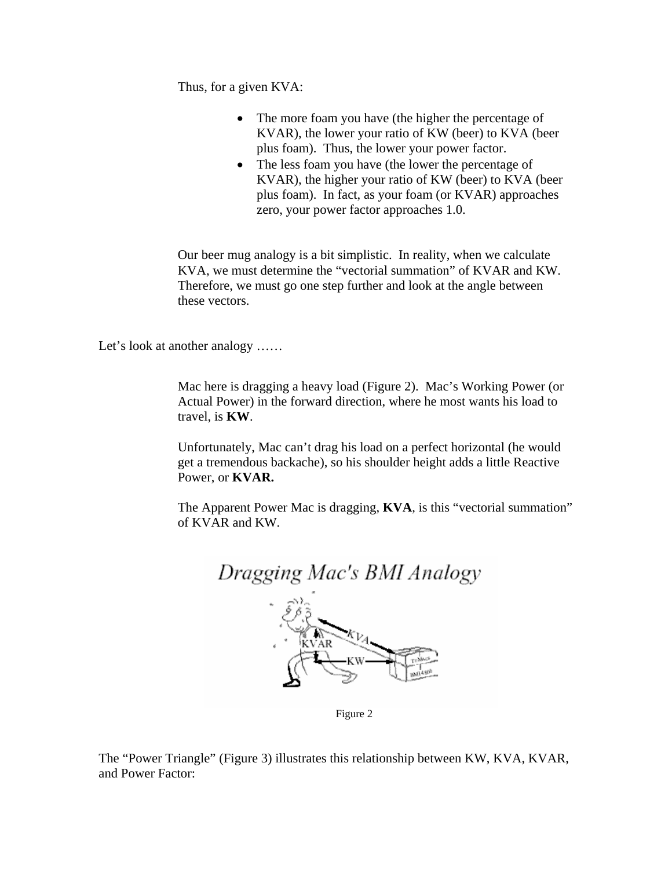Thus, for a given KVA:

- The more foam you have (the higher the percentage of KVAR), the lower your ratio of KW (beer) to KVA (beer plus foam). Thus, the lower your power factor.
- The less foam you have (the lower the percentage of KVAR), the higher your ratio of KW (beer) to KVA (beer plus foam). In fact, as your foam (or KVAR) approaches zero, your power factor approaches 1.0.

Our beer mug analogy is a bit simplistic. In reality, when we calculate KVA, we must determine the "vectorial summation" of KVAR and KW. Therefore, we must go one step further and look at the angle between these vectors.

Let's look at another analogy ......

Mac here is dragging a heavy load (Figure 2). Mac's Working Power (or Actual Power) in the forward direction, where he most wants his load to travel, is **KW**.

Unfortunately, Mac can't drag his load on a perfect horizontal (he would get a tremendous backache), so his shoulder height adds a little Reactive Power, or **KVAR.** 

The Apparent Power Mac is dragging, **KVA**, is this "vectorial summation" of KVAR and KW.



Figure 2

The "Power Triangle" (Figure 3) illustrates this relationship between KW, KVA, KVAR, and Power Factor: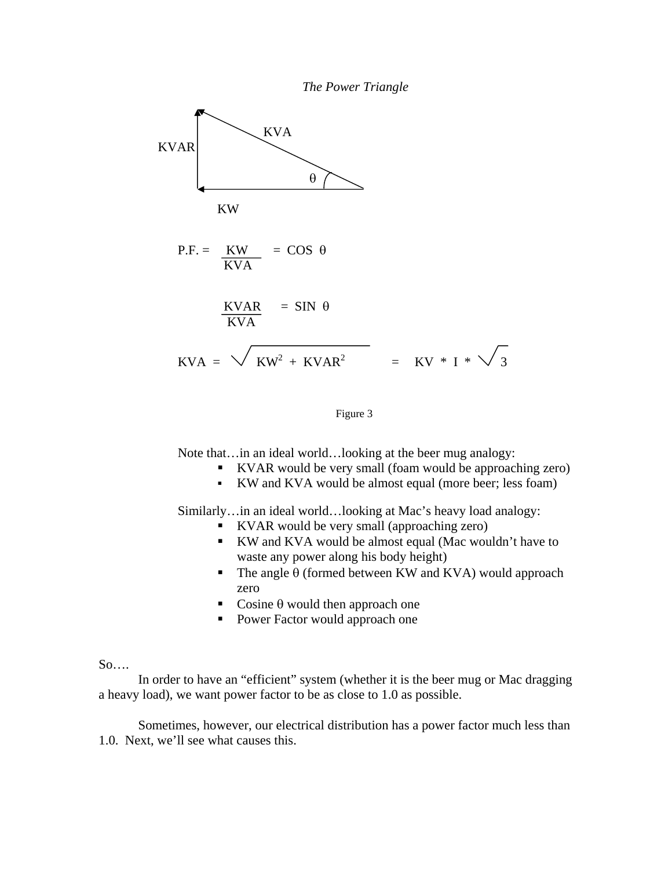

#### Figure 3

Note that...in an ideal world...looking at the beer mug analogy:

- KVAR would be very small (foam would be approaching zero)
- KW and KVA would be almost equal (more beer; less foam)

Similarly…in an ideal world…looking at Mac's heavy load analogy:

- KVAR would be very small (approaching zero)
- KW and KVA would be almost equal (Mac wouldn't have to waste any power along his body height)
- The angle  $\theta$  (formed between KW and KVA) would approach zero
- Cosine  $\theta$  would then approach one
- **Power Factor would approach one**

#### So….

 In order to have an "efficient" system (whether it is the beer mug or Mac dragging a heavy load), we want power factor to be as close to 1.0 as possible.

 Sometimes, however, our electrical distribution has a power factor much less than 1.0. Next, we'll see what causes this.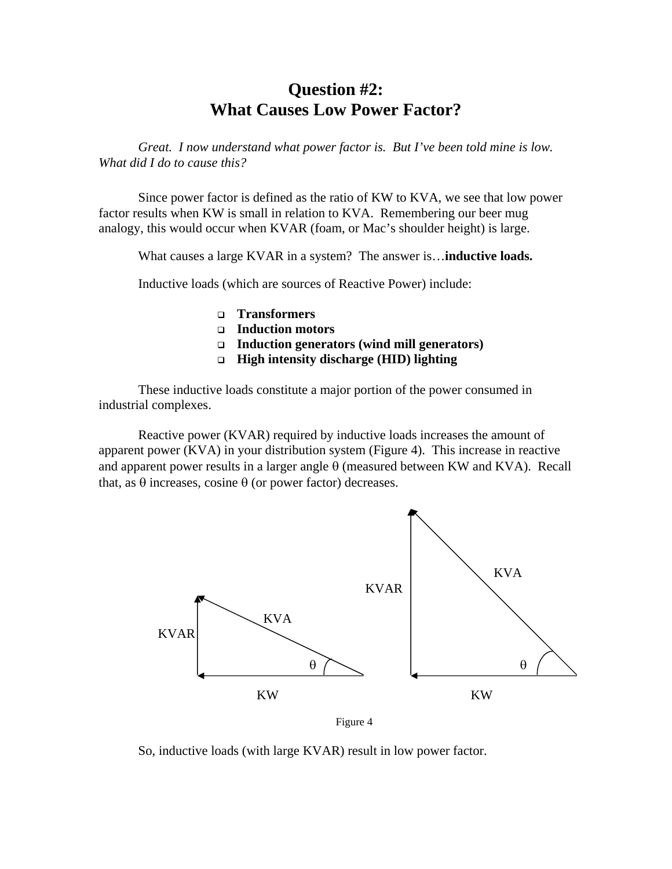### **Question #2: What Causes Low Power Factor?**

 *Great. I now understand what power factor is. But I've been told mine is low. What did I do to cause this?* 

Since power factor is defined as the ratio of KW to KVA, we see that low power factor results when KW is small in relation to KVA. Remembering our beer mug analogy, this would occur when KVAR (foam, or Mac's shoulder height) is large.

What causes a large KVAR in a system? The answer is…**inductive loads.** 

Inductive loads (which are sources of Reactive Power) include:

- **Transformers**
- **Induction motors**
- **Induction generators (wind mill generators)**
- **High intensity discharge (HID) lighting**

These inductive loads constitute a major portion of the power consumed in industrial complexes.

Reactive power (KVAR) required by inductive loads increases the amount of apparent power (KVA) in your distribution system (Figure 4). This increase in reactive and apparent power results in a larger angle  $\theta$  (measured between KW and KVA). Recall that, as  $θ$  increases, cosine  $θ$  (or power factor) decreases.



Figure 4

So, inductive loads (with large KVAR) result in low power factor.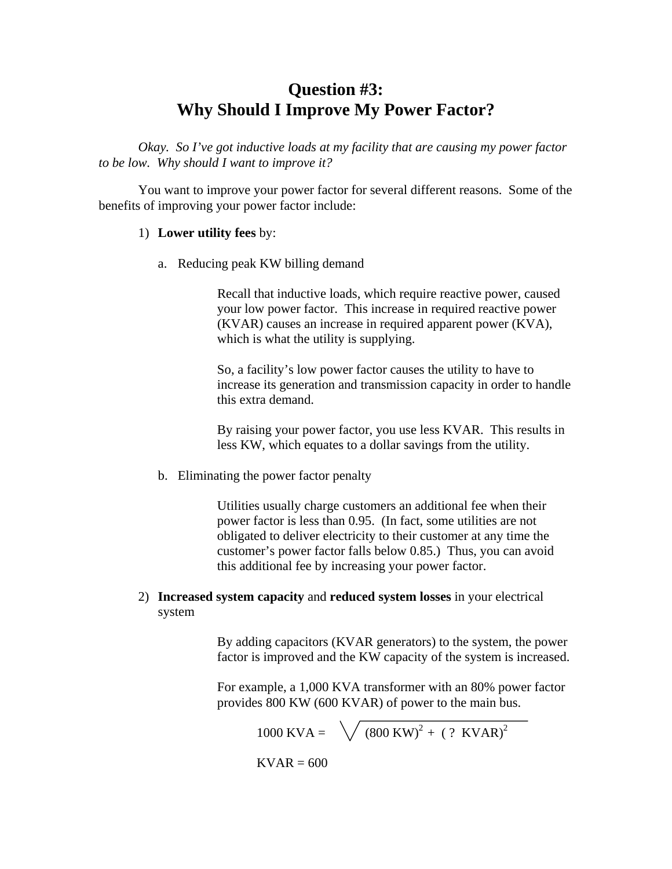## **Question #3: Why Should I Improve My Power Factor?**

*Okay. So I've got inductive loads at my facility that are causing my power factor to be low. Why should I want to improve it?* 

You want to improve your power factor for several different reasons. Some of the benefits of improving your power factor include:

#### 1) **Lower utility fees** by:

a. Reducing peak KW billing demand

Recall that inductive loads, which require reactive power, caused your low power factor. This increase in required reactive power (KVAR) causes an increase in required apparent power (KVA), which is what the utility is supplying.

So, a facility's low power factor causes the utility to have to increase its generation and transmission capacity in order to handle this extra demand.

By raising your power factor, you use less KVAR. This results in less KW, which equates to a dollar savings from the utility.

b. Eliminating the power factor penalty

Utilities usually charge customers an additional fee when their power factor is less than 0.95. (In fact, some utilities are not obligated to deliver electricity to their customer at any time the customer's power factor falls below 0.85.) Thus, you can avoid this additional fee by increasing your power factor.

### 2) **Increased system capacity** and **reduced system losses** in your electrical system

By adding capacitors (KVAR generators) to the system, the power factor is improved and the KW capacity of the system is increased.

For example, a 1,000 KVA transformer with an 80% power factor provides 800 KW (600 KVAR) of power to the main bus.

1000 KVA =  $\sqrt{(800 \text{ KW})^2 + ( ? \text{ KVAR})^2}$ 

 $KVAR = 600$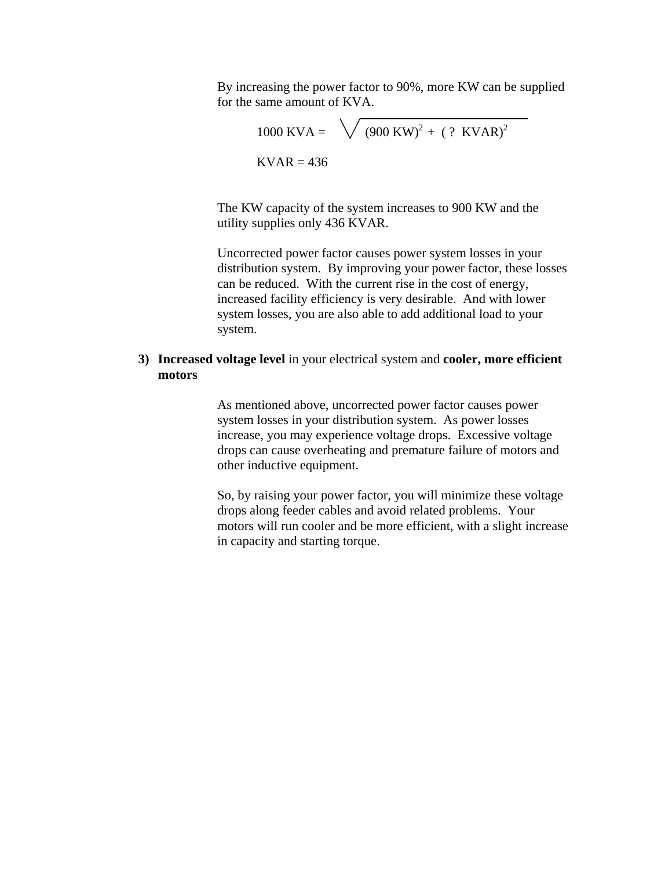By increasing the power factor to 90%, more KW can be supplied for the same amount of KVA.

$$
1000 \text{ KVA} = \sqrt{(900 \text{ KW})^2 + ( ? \text{ KVAR})^2}
$$
  
KVAR = 436

The KW capacity of the system increases to 900 KW and the utility supplies only 436 KVAR.

Uncorrected power factor causes power system losses in your distribution system. By improving your power factor, these losses can be reduced. With the current rise in the cost of energy, increased facility efficiency is very desirable. And with lower system losses, you are also able to add additional load to your system.

### **3) Increased voltage level** in your electrical system and **cooler, more efficient motors**

As mentioned above, uncorrected power factor causes power system losses in your distribution system. As power losses increase, you may experience voltage drops. Excessive voltage drops can cause overheating and premature failure of motors and other inductive equipment.

So, by raising your power factor, you will minimize these voltage drops along feeder cables and avoid related problems. Your motors will run cooler and be more efficient, with a slight increase in capacity and starting torque.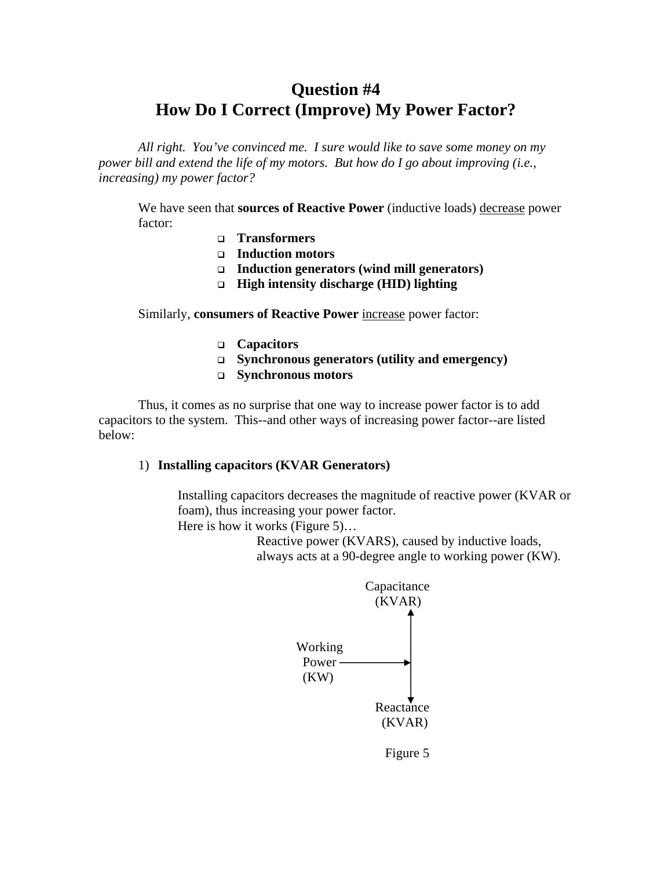# **Question #4 How Do I Correct (Improve) My Power Factor?**

*All right. You've convinced me. I sure would like to save some money on my power bill and extend the life of my motors. But how do I go about improving (i.e., increasing) my power factor?*

We have seen that **sources of Reactive Power** (inductive loads) decrease power factor:

- **Transformers**
- **Induction motors**
- **Induction generators (wind mill generators)**
- **High intensity discharge (HID) lighting**

Similarly, **consumers of Reactive Power** increase power factor:

- **Capacitors**
- **Synchronous generators (utility and emergency)**
- **Synchronous motors**

Thus, it comes as no surprise that one way to increase power factor is to add capacitors to the system. This--and other ways of increasing power factor--are listed below:

#### 1) **Installing capacitors (KVAR Generators)**

Installing capacitors decreases the magnitude of reactive power (KVAR or foam), thus increasing your power factor. Here is how it works (Figure 5)…

> Reactive power (KVARS), caused by inductive loads, always acts at a 90-degree angle to working power (KW).



Figure 5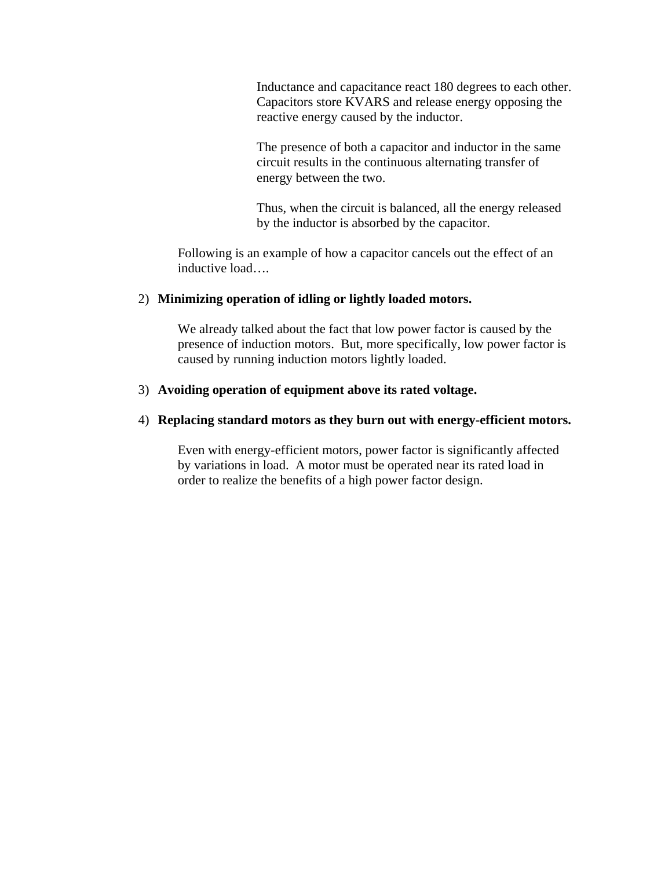Inductance and capacitance react 180 degrees to each other. Capacitors store KVARS and release energy opposing the reactive energy caused by the inductor.

The presence of both a capacitor and inductor in the same circuit results in the continuous alternating transfer of energy between the two.

Thus, when the circuit is balanced, all the energy released by the inductor is absorbed by the capacitor.

Following is an example of how a capacitor cancels out the effect of an inductive load….

#### 2) **Minimizing operation of idling or lightly loaded motors.**

We already talked about the fact that low power factor is caused by the presence of induction motors. But, more specifically, low power factor is caused by running induction motors lightly loaded.

### 3) **Avoiding operation of equipment above its rated voltage.**

#### 4) **Replacing standard motors as they burn out with energy-efficient motors.**

Even with energy-efficient motors, power factor is significantly affected by variations in load. A motor must be operated near its rated load in order to realize the benefits of a high power factor design.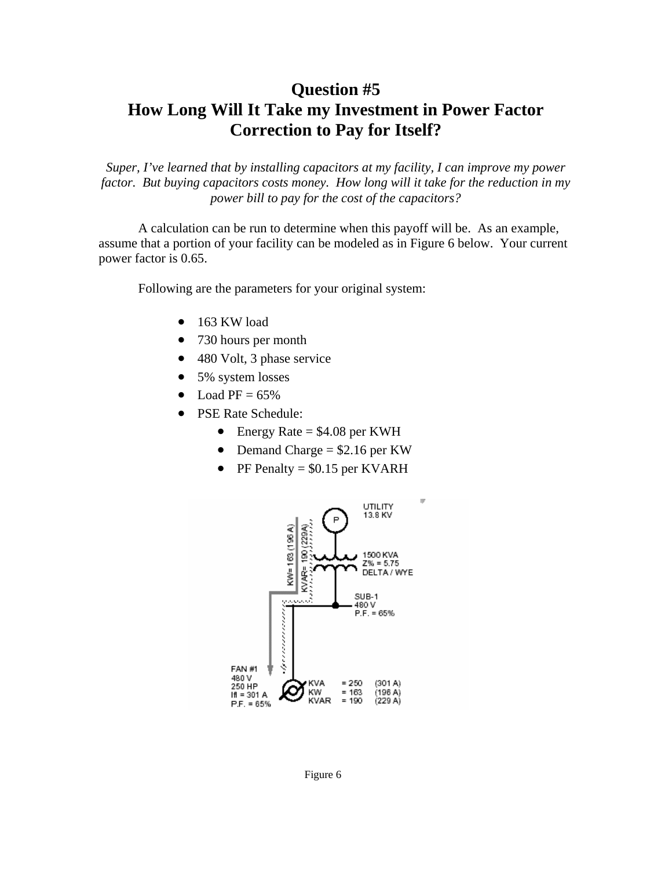# **Question #5 How Long Will It Take my Investment in Power Factor Correction to Pay for Itself?**

*Super, I've learned that by installing capacitors at my facility, I can improve my power factor. But buying capacitors costs money. How long will it take for the reduction in my power bill to pay for the cost of the capacitors?* 

A calculation can be run to determine when this payoff will be. As an example, assume that a portion of your facility can be modeled as in Figure 6 below. Your current power factor is 0.65.

Following are the parameters for your original system:

- 163 KW load
- 730 hours per month
- 480 Volt, 3 phase service
- 5% system losses
- Load  $PF = 65\%$
- PSE Rate Schedule:
	- Energy Rate  $= $4.08$  per KWH
	- Demand Charge  $= $2.16$  per KW
	- PF Penalty =  $$0.15$  per KVARH



Figure 6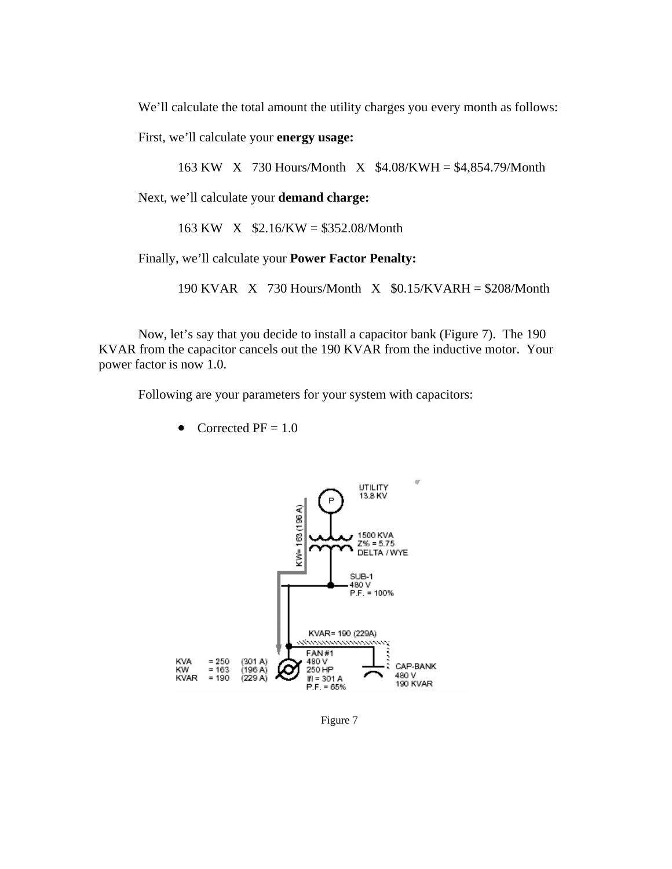We'll calculate the total amount the utility charges you every month as follows:

First, we'll calculate your **energy usage:** 

163 KW X 730 Hours/Month X \$4.08/KWH = \$4,854.79/Month

Next, we'll calculate your **demand charge:** 

163 KW X \$2.16/KW = \$352.08/Month

Finally, we'll calculate your **Power Factor Penalty:** 

190 KVAR X 730 Hours/Month X \$0.15/KVARH = \$208/Month

Now, let's say that you decide to install a capacitor bank (Figure 7). The 190 KVAR from the capacitor cancels out the 190 KVAR from the inductive motor. Your power factor is now 1.0.

Following are your parameters for your system with capacitors:

• Corrected  $PF = 1.0$ 



Figure 7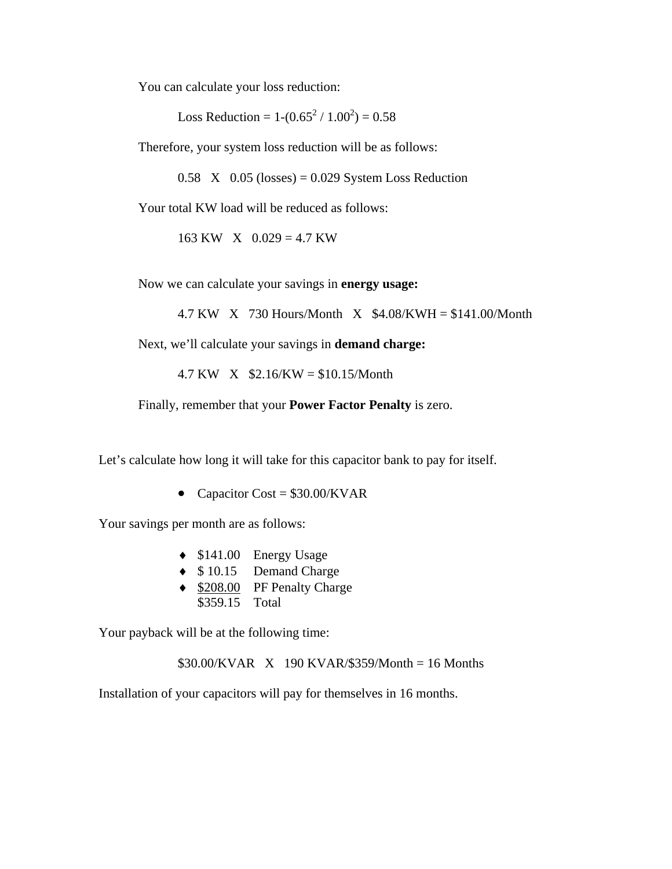You can calculate your loss reduction:

Loss Reduction =  $1-(0.65^2 / 1.00^2) = 0.58$ 

Therefore, your system loss reduction will be as follows:

 $0.58$  X  $0.05$  (losses) = 0.029 System Loss Reduction

Your total KW load will be reduced as follows:

 $163$  KW X  $0.029 = 4.7$  KW

Now we can calculate your savings in **energy usage:** 

4.7 KW  $\ X 730$  Hours/Month  $\ X$  \$4.08/KWH = \$141.00/Month

Next, we'll calculate your savings in **demand charge:** 

4.7 KW X \$2.16/KW = \$10.15/Month

Finally, remember that your **Power Factor Penalty** is zero.

Let's calculate how long it will take for this capacitor bank to pay for itself.

• Capacitor Cost =  $$30.00/KVAR$ 

Your savings per month are as follows:

- ♦ \$141.00 Energy Usage
- ♦ \$ 10.15 Demand Charge
- ♦ \$208.00 PF Penalty Charge \$359.15 Total

Your payback will be at the following time:

\$30.00/KVAR X 190 KVAR/\$359/Month = 16 Months

Installation of your capacitors will pay for themselves in 16 months.